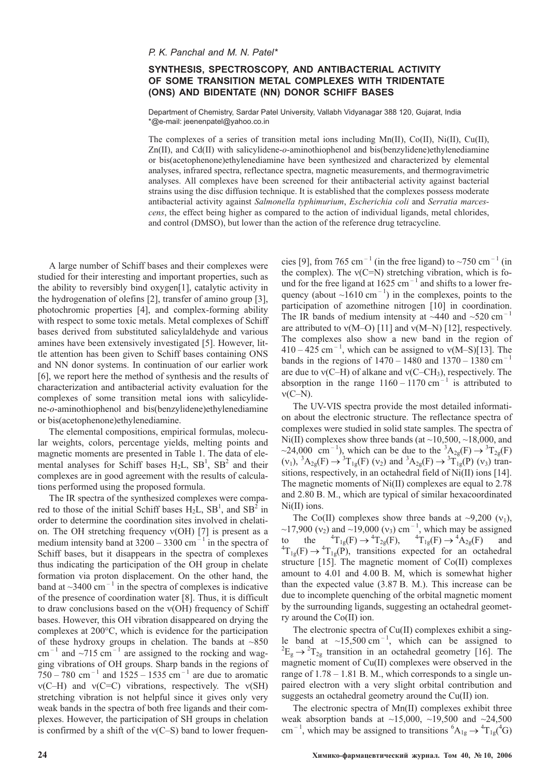## **SYNTHESIS, SPECTROSCOPY, AND ANTIBACTERIAL ACTIVITY OF SOME TRANSITION METAL COMPLEXES WITH TRIDENTATE (ONS) AND BIDENTATE (NN) DONOR SCHIFF BASES**

Department of Chemistry, Sardar Patel University, Vallabh Vidyanagar 388 120, Gujarat, India \*@e-mail: jeenenpatel@yahoo.co.in

The complexes of a series of transition metal ions including  $Mn(II)$ ,  $Co(II)$ ,  $Ni(II)$ ,  $Cu(II)$ , Zn(II), and Cd(II) with salicylidene-*o*-aminothiophenol and bis(benzylidene)ethylenediamine or bis(acetophenone)ethylenediamine have been synthesized and characterized by elemental analyses, infrared spectra, reflectance spectra, magnetic measurements, and thermogravimetric analyses. All complexes have been screened for their antibacterial activity against bacterial strains using the disc diffusion technique. It is established that the complexes possess moderate antibacterial activity against *Salmonella typhimurium*, *Escherichia coli* and *Serratia marcescens*, the effect being higher as compared to the action of individual ligands, metal chlorides, and control (DMSO), but lower than the action of the reference drug tetracycline.

A large number of Schiff bases and their complexes were studied for their interesting and important properties, such as the ability to reversibly bind oxygen[1], catalytic activity in the hydrogenation of olefins [2], transfer of amino group [3], photochromic properties [4], and complex-forming ability with respect to some toxic metals. Metal complexes of Schiff bases derived from substituted salicylaldehyde and various amines have been extensively investigated [5]. However, little attention has been given to Schiff bases containing ONS and NN donor systems. In continuation of our earlier work [6], we report here the method of synthesis and the results of characterization and antibacterial activity evaluation for the complexes of some transition metal ions with salicylidene-*o*-aminothiophenol and bis(benzylidene)ethylenediamine or bis(acetophenone)ethylenediamine.

The elemental compositions, empirical formulas, molecular weights, colors, percentage yields, melting points and magnetic moments are presented in Table 1. The data of elemental analyses for Schiff bases  $H_2L$ ,  $SB^1$ ,  $SB^2$  and their complexes are in good agreement with the results of calculations performed using the proposed formula.

The IR spectra of the synthesized complexes were compared to those of the initial Schiff bases  $H_2L$ ,  $SB^1$ , and  $SB^2$  in order to determine the coordination sites involved in chelation. The OH stretching frequency  $v(OH)$  [7] is present as a medium intensity band at  $3200 - 3300$  cm<sup>-1</sup> in the spectra of Schiff bases, but it disappears in the spectra of complexes thus indicating the participation of the OH group in chelate formation via proton displacement. On the other hand, the band at  $\sim$ 3400 cm<sup>-1</sup> in the spectra of complexes is indicative of the presence of coordination water [8]. Thus, it is difficult to draw conclusions based on the  $v(OH)$  frequency of Schiff bases. However, this OH vibration disappeared on drying the complexes at 200°C, which is evidence for the participation of these hydroxy groups in chelation. The bands at  $~850$ cm<sup>-1</sup> and  $\sim$ 715 cm<sup>-1</sup> are assigned to the rocking and wagging vibrations of OH groups. Sharp bands in the regions of  $750 - 780$  cm<sup>-1</sup> and  $1525 - 1535$  cm<sup>-1</sup> are due to aromatic  $v(C-H)$  and  $v(C=C)$  vibrations, respectively. The  $v(SH)$ stretching vibration is not helpful since it gives only very weak bands in the spectra of both free ligands and their complexes. However, the participation of SH groups in chelation is confirmed by a shift of the  $v(C-S)$  band to lower frequencies [9], from 765 cm<sup>-1</sup> (in the free ligand) to  $\sim$ 750 cm<sup>-1</sup> (in the complex). The  $v(C=N)$  stretching vibration, which is found for the free ligand at  $1625 \text{ cm}^{-1}$  and shifts to a lower frequency (about  $\sim 1610 \text{ cm}^{-1}$ ) in the complexes, points to the participation of azomethine nitrogen [10] in coordination. The IR bands of medium intensity at  $\sim$ 440 and  $\sim$ 520 cm<sup>-1</sup> are attributed to  $v(M–O)$  [11] and  $v(M–N)$  [12], respectively. The complexes also show a new band in the region of  $410 - 425$  cm<sup>-1</sup>, which can be assigned to  $v(M-S)[13]$ . The bands in the regions of  $1470 - 1480$  and  $1370 - 1380$  cm<sup>-1</sup> are due to  $v(C-H)$  of alkane and  $v(C-CH_3)$ , respectively. The absorption in the range  $1160 - 1170$  cm<sup>-1</sup> is attributed to  $v(C-N)$ .

The UV-VIS spectra provide the most detailed information about the electronic structure. The reflectance spectra of complexes were studied in solid state samples. The spectra of Ni(II) complexes show three bands (at  $\sim$ 10,500,  $\sim$ 18,000, and ~24,000 cm<sup>-1</sup>), which can be due to the <sup>3</sup>A<sub>2g</sub>(F)  $\rightarrow$  <sup>3</sup>T<sub>2g</sub>(F)  $(v_1)$ ,  ${}^3A_{2g}(F) \rightarrow {}^3T_{1g}(F)$   $(v_2)$  and  ${}^3A_{2g}(F) \rightarrow {}^3T_{1g}(P)$   $(v_3)$  transitions, respectively, in an octahedral field of Ni(II) ions [14]. The magnetic moments of Ni(II) complexes are equal to 2.78 and 2.80 B. M., which are typical of similar hexacoordinated Ni(II) ions.

The Co(II) complexes show three bands at  $\sim$ 9,200 ( $v_1$ ), ~17,900 ( $v_2$ ) and ~19,000 ( $v_3$ ) cm<sup>-1</sup>, which may be assigned to the  ${}^{4}T_{1g}(F) \rightarrow {}^{4}T_{2g}(F)$ ,  ${}^{4}T_{1g}(F) \rightarrow {}^{4}A_{2g}(F)$  and  ${}^{4}T_{1g}(F) \rightarrow {}^{4}T_{2g}(F)$  and  ${}^{4}T_{1g}(F) \rightarrow {}^{4}T_{2g}(F)$  $T_{1g}(F) \rightarrow {}^{4}T_{1g}(P)$ , transitions expected for an octahedral structure [15]. The magnetic moment of Co(II) complexes amount to 4.01 and 4.00 B. M, which is somewhat higher than the expected value (3.87 B. M.). This increase can be due to incomplete quenching of the orbital magnetic moment by the surrounding ligands, suggesting an octahedral geometry around the Co(II) ion.

The electronic spectra of Cu(II) complexes exhibit a single band at  $\sim$ 15,500 cm<sup>-1</sup>, which can be assigned to  $E_g \rightarrow {}^2T_{2g}$  transition in an octahedral geometry [16]. The magnetic moment of Cu(II) complexes were observed in the range of 1.78 – 1.81 B. M., which corresponds to a single unpaired electron with a very slight orbital contribution and suggests an octahedral geometry around the Cu(II) ion.

The electronic spectra of Mn(II) complexes exhibit three weak absorption bands at  $\sim$ 15,000,  $\sim$ 19,500 and  $\sim$ 24,500 cm<sup>-1</sup>, which may be assigned to transitions  ${}^{6}A_{1g} \rightarrow {}^{4}T_{1g}({}^{4}G)$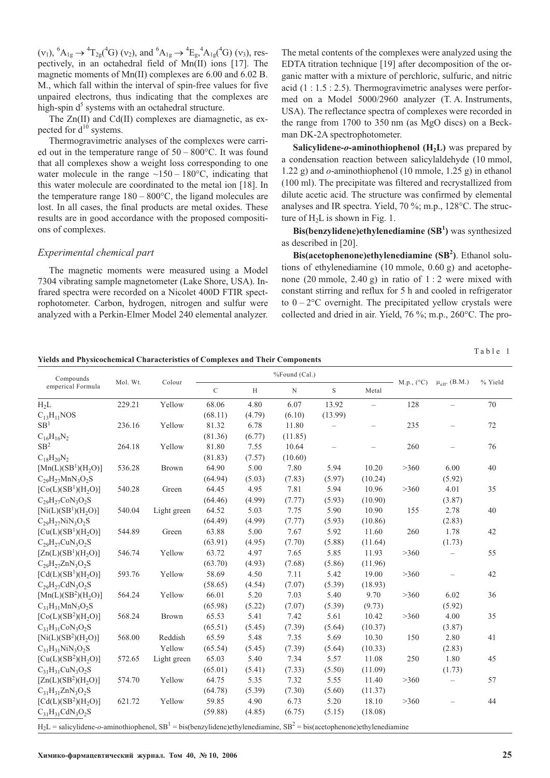$(v_1)$ ,  ${}^6A_{1g} \rightarrow {}^4T_{2g}({}^4G)$   $(v_2)$ , and  ${}^6A_{1g} \rightarrow {}^4E_g, {}^4A_{1g}({}^4G)$   $(v_3)$ , respectively, in an octahedral field of Mn(II) ions [17]. The magnetic moments of Mn(II) complexes are 6.00 and 6.02 B. M., which fall within the interval of spin-free values for five unpaired electrons, thus indicating that the complexes are high-spin  $d<sup>5</sup>$  systems with an octahedral structure.

The Zn(II) and Cd(II) complexes are diamagnetic, as expected for  $d^{10}$  systems.

Thermogravimetric analyses of the complexes were carried out in the temperature range of  $50 - 800^{\circ}$ C. It was found that all complexes show a weight loss corresponding to one water molecule in the range  $~150 - 180$ °C, indicating that this water molecule are coordinated to the metal ion [18]. In the temperature range  $180 - 800^{\circ}$ C, the ligand molecules are lost. In all cases, the final products are metal oxides. These results are in good accordance with the proposed compositions of complexes.

### *Experimental chemical part*

The magnetic moments were measured using a Model 7304 vibrating sample magnetometer (Lake Shore, USA). Infrared spectra were recorded on a Nicolet 400D FTIR spectrophotometer. Carbon, hydrogen, nitrogen and sulfur were analyzed with a Perkin-Elmer Model 240 elemental analyzer. The metal contents of the complexes were analyzed using the EDTA titration technique [19] after decomposition of the organic matter with a mixture of perchloric, sulfuric, and nitric acid (1 : 1.5 : 2.5). Thermogravimetric analyses were performed on a Model 5000/2960 analyzer (T. A. Instruments, USA). The reflectance spectra of complexes were recorded in the range from 1700 to 350 nm (as MgO discs) on a Beckman DK-2A spectrophotometer.

**Salicylidene-** $o$ **-aminothiophenol (** $H<sub>2</sub>L$ **)** was prepared by a condensation reaction between salicylaldehyde (10 mmol, 1.22 g) and *o*-aminothiophenol (10 mmole, 1.25 g) in ethanol (100 ml). The precipitate was filtered and recrystallized from dilute acetic acid. The structure was confirmed by elemental analyses and IR spectra. Yield, 70 %; m.p., 128°C. The structure of  $H_2L$  is shown in Fig. 1.

**Bis(benzylidene)ethylenediamine (SB1 )** was synthesized as described in [20].

**Bis(acetophenone)ethylenediamine (SB<sup>2</sup>)**. Ethanol solutions of ethylenediamine (10 mmole, 0.60 g) and acetophenone (20 mmole, 2.40 g) in ratio of 1 : 2 were mixed with constant stirring and reflux for 5 h and cooled in refrigerator to  $0 - 2$ <sup>o</sup>C overnight. The precipitated yellow crystals were collected and dried in air. Yield, 76 %; m.p., 260°C. The pro-

**Yields and Physicochemical Characteristics of Complexes and Their Components**

| Compounds<br>emperical Formula                                                                                                                          | Mol. Wt. | Colour       | %Found (Cal.) |        |             |             |          |            |                          |         |
|---------------------------------------------------------------------------------------------------------------------------------------------------------|----------|--------------|---------------|--------|-------------|-------------|----------|------------|--------------------------|---------|
|                                                                                                                                                         |          |              | $\mathcal{C}$ | H      | $\mathbf N$ | $\mathbf S$ | Metal    | M.p., (°C) | $\mu_{eff}.$ (B.M.)      | % Yield |
| $H_2L$                                                                                                                                                  | 229.21   | Yellow       | 68.06         | 4.80   | 6.07        | 13.92       | $\equiv$ | 128        | $\overline{\phantom{0}}$ | 70      |
| $C_{13}H_{11}NOS$                                                                                                                                       |          |              | (68.11)       | (4.79) | (6.10)      | (13.99)     |          |            |                          |         |
| SB <sup>1</sup>                                                                                                                                         | 236.16   | Yellow       | 81.32         | 6.78   | 11.80       |             |          | 235        |                          | 72      |
| $C_{16}H_{16}N_2$                                                                                                                                       |          |              | (81.36)       | (6.77) | (11.85)     |             |          |            |                          |         |
| SB <sup>2</sup>                                                                                                                                         | 264.18   | Yellow       | 81.80         | 7.55   | 10.64       |             |          | 260        |                          | 76      |
| $C_{18}H_{20}N_2$                                                                                                                                       |          |              | (81.83)       | (7.57) | (10.60)     |             |          |            |                          |         |
| $[{\rm Mn}(L)(SB^1)(H, O)]$                                                                                                                             | 536.28   | <b>Brown</b> | 64.90         | 5.00   | 7.80        | 5.94        | 10.20    | >360       | 6.00                     | 40      |
| $C_{29}H_{27}MnN_3O_2S$                                                                                                                                 |          |              | (64.94)       | (5.03) | (7.83)      | (5.97)      | (10.24)  |            | (5.92)                   |         |
| $[Co(L)(SB1)(H2O)]$                                                                                                                                     | 540.28   | Green        | 64.45         | 4.95   | 7.81        | 5.94        | 10.96    | >360       | 4.01                     | 35      |
| $C_{29}H_{27}CoN_3O_2S$                                                                                                                                 |          |              | (64.46)       | (4.99) | (7.77)      | (5.93)      | (10.90)  |            | (3.87)                   |         |
| $[Ni(L)(SB1)(H2O)]$                                                                                                                                     | 540.04   | Light green  | 64.52         | 5.03   | 7.75        | 5.90        | 10.90    | 155        | 2.78                     | 40      |
| $C_{29}H_{27}NiN_3O_2S$                                                                                                                                 |          |              | (64.49)       | (4.99) | (7.77)      | (5.93)      | (10.86)  |            | (2.83)                   |         |
| $[Cu(L)(SB1)(H2O)]$                                                                                                                                     | 544.89   | Green        | 63.88         | 5.00   | 7.67        | 5.92        | 11.60    | 260        | 1.78                     | 42      |
| $C_{29}H_{27}CuN_3O_2S$                                                                                                                                 |          |              | (63.91)       | (4.95) | (7.70)      | (5.88)      | (11.64)  |            | (1.73)                   |         |
| [Zn(L)(SB <sup>1</sup> )(H, O)]                                                                                                                         | 546.74   | Yellow       | 63.72         | 4.97   | 7.65        | 5.85        | 11.93    | >360       |                          | 55      |
| $C_{29}H_{27}ZnN_3O_2S$                                                                                                                                 |          |              | (63.70)       | (4.93) | (7.68)      | (5.86)      | (11.96)  |            |                          |         |
| $[Cd(L)(SB1)(H2O)]$                                                                                                                                     | 593.76   | Yellow       | 58.69         | 4.50   | 7.11        | 5.42        | 19.00    | >360       | $\overline{\phantom{0}}$ | 42      |
| $C_{29}H_{27}CdN_3O_2S$                                                                                                                                 |          |              | (58.65)       | (4.54) | (7.07)      | (5.39)      | (18.93)  |            |                          |         |
| $[{\rm Mn}(L)(SB^2)(H_2O)]$                                                                                                                             | 564.24   | Yellow       | 66.01         | 5.20   | 7.03        | 5.40        | 9.70     | >360       | 6.02                     | 36      |
| $C_{31}H_{31}MnN_3O_2S$                                                                                                                                 |          |              | (65.98)       | (5.22) | (7.07)      | (5.39)      | (9.73)   |            | (5.92)                   |         |
| $[Co(L)(SB2)(H2O)]$                                                                                                                                     | 568.24   | Brown        | 65.53         | 5.41   | 7.42        | 5.61        | 10.42    | >360       | 4.00                     | 35      |
| $C_{31}H_{31}CoN_3O_2S$                                                                                                                                 |          |              | (65.51)       | (5.45) | (7.39)      | (5.64)      | (10.37)  |            | (3.87)                   |         |
| $[Ni(L)(SB2)(H2O)]$                                                                                                                                     | 568.00   | Reddish      | 65.59         | 5.48   | 7.35        | 5.69        | 10.30    | 150        | 2.80                     | 41      |
| $C_{31}H_{31}NiN_3O_2S$                                                                                                                                 |          | Yellow       | (65.54)       | (5.45) | (7.39)      | (5.64)      | (10.33)  |            | (2.83)                   |         |
| $[Cu(L)(SB2)(H2O)]$                                                                                                                                     | 572.65   | Light green  | 65.03         | 5.40   | 7.34        | 5.57        | 11.08    | 250        | 1.80                     | 45      |
| $C_{31}H_{31}CuN_3O_2S$                                                                                                                                 |          |              | (65.01)       | (5.41) | (7.33)      | (5.50)      | (11.09)  |            | (1.73)                   |         |
| $[Zn(L)(SB2)(H2O)]$                                                                                                                                     | 574.70   | Yellow       | 64.75         | 5.35   | 7.32        | 5.55        | 11.40    | >360       | $\overline{\phantom{0}}$ | 57      |
| $C_{31}H_{31}ZnN_3O_2S$                                                                                                                                 |          |              | (64.78)       | (5.39) | (7.30)      | (5.60)      | (11.37)  |            |                          |         |
| $[Cd(L)(SB2)(H2O)]$                                                                                                                                     | 621.72   | Yellow       | 59.85         | 4.90   | 6.73        | 5.20        | 18.10    | >360       |                          | 44      |
| $C_{31}H_{31}CdN_3O_2S$                                                                                                                                 |          |              | (59.88)       | (4.85) | (6.75)      | (5.15)      | (18.08)  |            |                          |         |
| $H_2L$ = salicylidene- <i>o</i> -aminothiophenol, SB <sup>1</sup> = bis(benzylidene)ethylenediamine, SB <sup>2</sup> = bis(acetophenone)ethylenediamine |          |              |               |        |             |             |          |            |                          |         |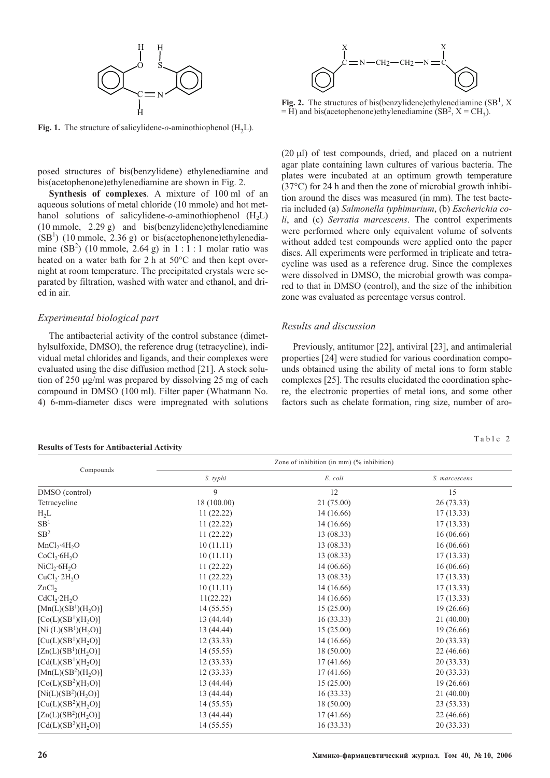

**Fig. 1.** The structure of salicylidene- $o$ -aminothiophenol  $(H<sub>2</sub>L)$ .

posed structures of bis(benzylidene) ethylenediamine and bis(acetophenone)ethylenediamine are shown in Fig. 2.

**Synthesis of complexes**. A mixture of 100 ml of an aqueous solutions of metal chloride (10 mmole) and hot methanol solutions of salicylidene-*o*-aminothiophenol (H<sub>2</sub>L) (10 mmole, 2.29 g) and bis(benzylidene)ethylenediamine  $(SB<sup>1</sup>)$  (10 mmole, 2.36 g) or bis(acetophenone)ethylenediamine  $(SB<sup>2</sup>)$  (10 mmole, 2.64 g) in 1:1:1 molar ratio was heated on a water bath for 2 h at 50°C and then kept overnight at room temperature. The precipitated crystals were separated by filtration, washed with water and ethanol, and dried in air.

## *Experimental biological part*

The antibacterial activity of the control substance (dimethylsulfoxide, DMSO), the reference drug (tetracycline), individual metal chlorides and ligands, and their complexes were evaluated using the disc diffusion method [21]. A stock solution of 250 g/ml was prepared by dissolving 25 mg of each compound in DMSO (100 ml). Filter paper (Whatmann No. 4) 6-mm-diameter discs were impregnated with solutions



**Fig. 2.** The structures of bis(benzylidene)ethylenediamine  $(SB<sup>1</sup>, X)$  $=$  H) and bis(acetophenone)ethylenediamine (SB<sup>2</sup>, X = CH<sub>3</sub>).

(20 l) of test compounds, dried, and placed on a nutrient agar plate containing lawn cultures of various bacteria. The plates were incubated at an optimum growth temperature (37°C) for 24 h and then the zone of microbial growth inhibition around the discs was measured (in mm). The test bacteria included (a) *Salmonella typhimurium*, (b) *Escherichia coli*, and (c) *Serratia marcescens*. The control experiments were performed where only equivalent volume of solvents without added test compounds were applied onto the paper discs. All experiments were performed in triplicate and tetracycline was used as a reference drug. Since the complexes were dissolved in DMSO, the microbial growth was compared to that in DMSO (control), and the size of the inhibition zone was evaluated as percentage versus control.

## *Results and discussion*

Previously, antitumor [22], antiviral [23], and antimalerial properties [24] were studied for various coordination compounds obtained using the ability of metal ions to form stable complexes [25]. The results elucidated the coordination sphere, the electronic properties of metal ions, and some other factors such as chelate formation, ring size, number of aro-

Table 2

|                                              | Zone of inhibition (in mm) (% inhibition) |            |               |  |  |  |  |
|----------------------------------------------|-------------------------------------------|------------|---------------|--|--|--|--|
| Compounds                                    | S. typhi                                  | E. coli    | S. marcescens |  |  |  |  |
| DMSO (control)                               | 9                                         | 12         | 15            |  |  |  |  |
| Tetracycline                                 | 18 (100.00)                               | 21 (75.00) | 26 (73.33)    |  |  |  |  |
| $H_2L$                                       | 11(22.22)                                 | 14 (16.66) | 17(13.33)     |  |  |  |  |
| SB <sup>1</sup>                              | 11(22.22)                                 | 14 (16.66) | 17(13.33)     |  |  |  |  |
| SB <sup>2</sup>                              | 11(22.22)                                 | 13(08.33)  | 16(06.66)     |  |  |  |  |
| $MnCl_2 \cdot 4H_2O$                         | 10(11.11)                                 | 13(08.33)  | 16 (06.66)    |  |  |  |  |
| CoCl <sub>2</sub> ·6H <sub>2</sub> O         | 10(11.11)                                 | 13 (08.33) | 17(13.33)     |  |  |  |  |
| NiCl <sub>2</sub> ·6H <sub>2</sub> O         | 11(22.22)                                 | 14 (06.66) | 16(06.66)     |  |  |  |  |
| CuCl <sub>2</sub> ·2H <sub>2</sub> O         | 11(22.22)                                 | 13(08.33)  | 17(13.33)     |  |  |  |  |
| ZnCl <sub>2</sub>                            | 10(11.11)                                 | 14 (16.66) | 17(13.33)     |  |  |  |  |
| CdCl <sub>2</sub> ·2H <sub>2</sub> O         | 11(22.22)                                 | 14 (16.66) | 17(13.33)     |  |  |  |  |
| $[Mn(L)(SB1)(H2O)]$                          | 14(55.55)                                 | 15(25.00)  | 19 (26.66)    |  |  |  |  |
| $[Co(L)(SB1)(H2O)]$                          | 13 (44.44)                                | 16(33.33)  | 21(40.00)     |  |  |  |  |
| [Ni (L)(SB <sup>1</sup> )(H <sub>2</sub> O)] | 13 (44.44)                                | 15(25.00)  | 19 (26.66)    |  |  |  |  |
| $[Cu(L)(SB1)(H2O)]$                          | 12(33.33)                                 | 14 (16.66) | 20(33.33)     |  |  |  |  |
| $[Zn(L)(SB1)(H2O)]$                          | 14 (55.55)                                | 18(50.00)  | 22 (46.66)    |  |  |  |  |
| $[Cd(L)(SB1)(H2O)]$                          | 12(33.33)                                 | 17(41.66)  | 20 (33.33)    |  |  |  |  |
| $[{\rm Mn}(L)(SB^2)(H_2O)]$                  | 12(33.33)                                 | 17(41.66)  | 20 (33.33)    |  |  |  |  |
| $[Co(L)(SB2)(H2O)]$                          | 13 (44.44)                                | 15(25.00)  | 19 (26.66)    |  |  |  |  |
| $[Ni(L)(SB2)(H2O)]$                          | 13 (44.44)                                | 16(33.33)  | 21(40.00)     |  |  |  |  |
| $[Cu(L)(SB2)(H2O)]$                          | 14 (55.55)                                | 18 (50.00) | 23 (53.33)    |  |  |  |  |
| $[Zn(L)(SB2)(H2O)]$                          | 13 (44.44)                                | 17(41.66)  | 22 (46.66)    |  |  |  |  |
| $[Cd(L)(SB2)(H2O)]$                          | 14(55.55)                                 | 16(33.33)  | 20(33.33)     |  |  |  |  |

#### **Results of Tests for Antibacterial Activity**